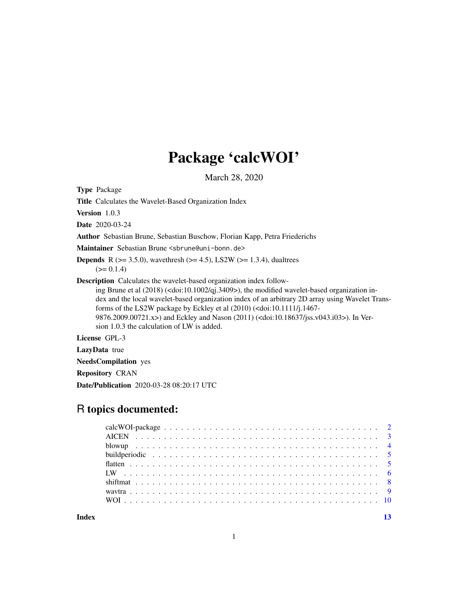## Package 'calcWOI'

March 28, 2020

Type Package

Title Calculates the Wavelet-Based Organization Index

Version 1.0.3

Date 2020-03-24

Author Sebastian Brune, Sebastian Buschow, Florian Kapp, Petra Friederichs

Maintainer Sebastian Brune <sbrune@uni-bonn.de>

**Depends** R ( $>= 3.5.0$ ), wavethresh ( $>= 4.5$ ), LS2W ( $>= 1.3.4$ ), dualtrees  $(>= 0.1.4)$ 

Description Calculates the wavelet-based organization index follow-

ing Brune et al (2018) (<doi:10.1002/qj.3409>), the modified wavelet-based organization index and the local wavelet-based organization index of an arbitrary 2D array using Wavelet Transforms of the LS2W package by Eckley et al (2010) (<doi:10.1111/j.1467- 9876.2009.00721.x>) and Eckley and Nason (2011) (<doi:10.18637/jss.v043.i03>). In Version 1.0.3 the calculation of LW is added.

License GPL-3

LazyData true

NeedsCompilation yes

Repository CRAN

Date/Publication 2020-03-28 08:20:17 UTC

## R topics documented:

|       | build periodic $\ldots \ldots \ldots \ldots \ldots \ldots \ldots \ldots \ldots \ldots \ldots \ldots \ldots$ |  |
|-------|-------------------------------------------------------------------------------------------------------------|--|
|       |                                                                                                             |  |
|       |                                                                                                             |  |
|       |                                                                                                             |  |
|       |                                                                                                             |  |
|       |                                                                                                             |  |
| Index |                                                                                                             |  |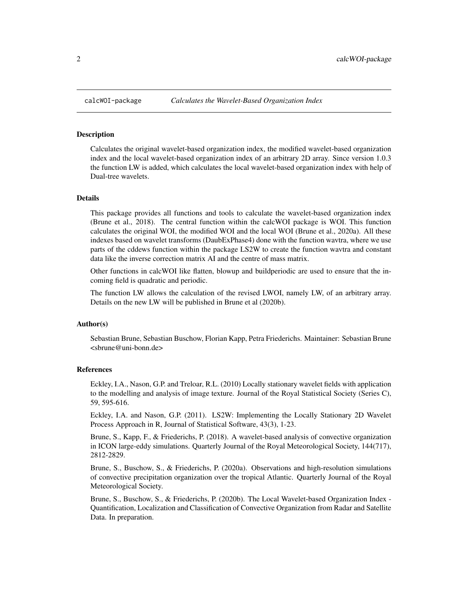<span id="page-1-0"></span>

#### Description

Calculates the original wavelet-based organization index, the modified wavelet-based organization index and the local wavelet-based organization index of an arbitrary 2D array. Since version 1.0.3 the function LW is added, which calculates the local wavelet-based organization index with help of Dual-tree wavelets.

#### Details

This package provides all functions and tools to calculate the wavelet-based organization index (Brune et al., 2018). The central function within the calcWOI package is WOI. This function calculates the original WOI, the modified WOI and the local WOI (Brune et al., 2020a). All these indexes based on wavelet transforms (DaubExPhase4) done with the function wavtra, where we use parts of the cddews function within the package LS2W to create the function wavtra and constant data like the inverse correction matrix AI and the centre of mass matrix.

Other functions in calcWOI like flatten, blowup and buildperiodic are used to ensure that the incoming field is quadratic and periodic.

The function LW allows the calculation of the revised LWOI, namely LW, of an arbitrary array. Details on the new LW will be published in Brune et al (2020b).

#### Author(s)

Sebastian Brune, Sebastian Buschow, Florian Kapp, Petra Friederichs. Maintainer: Sebastian Brune <sbrune@uni-bonn.de>

#### References

Eckley, I.A., Nason, G.P. and Treloar, R.L. (2010) Locally stationary wavelet fields with application to the modelling and analysis of image texture. Journal of the Royal Statistical Society (Series C), 59, 595-616.

Eckley, I.A. and Nason, G.P. (2011). LS2W: Implementing the Locally Stationary 2D Wavelet Process Approach in R, Journal of Statistical Software, 43(3), 1-23.

Brune, S., Kapp, F., & Friederichs, P. (2018). A wavelet-based analysis of convective organization in ICON large-eddy simulations. Quarterly Journal of the Royal Meteorological Society, 144(717), 2812-2829.

Brune, S., Buschow, S., & Friederichs, P. (2020a). Observations and high-resolution simulations of convective precipitation organization over the tropical Atlantic. Quarterly Journal of the Royal Meteorological Society.

Brune, S., Buschow, S., & Friederichs, P. (2020b). The Local Wavelet-based Organization Index - Quantification, Localization and Classification of Convective Organization from Radar and Satellite Data. In preparation.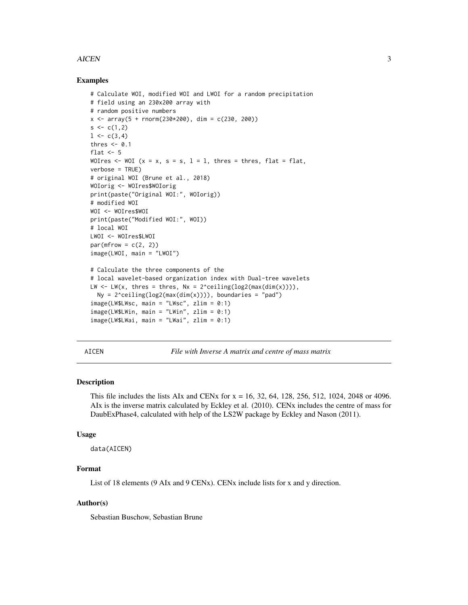#### <span id="page-2-0"></span>AICEN 3

#### Examples

```
# Calculate WOI, modified WOI and LWOI for a random precipitation
# field using an 230x200 array with
# random positive numbers
x \le -\arctan(5 + \text{norm}(230 \times 200), \text{dim} = c(230, 200))s \leq c(1,2)1 \leftarrow c(3, 4)thres <-0.1flat <-5WOIres \leq WOI (x = x, s = s, l = l, thres = thres, flat = flat,
verbose = TRUE)
# original WOI (Brune et al., 2018)
WOIorig <- WOIres$WOIorig
print(paste("Original WOI:", WOIorig))
# modified WOI
WOI <- WOIres$WOI
print(paste("Modified WOI:", WOI))
# local WOI
LWOI <- WOIres$LWOI
par(mfrow = c(2, 2))image(LWOI, main = "LWOI")
# Calculate the three components of the
# local wavelet-based organization index with Dual-tree wavelets
LW \leq LW(x, thres = thres, Nx = 2^ceiling(log2(max(dim(x)))),
  Ny = 2^ceiling(log2(max(dim(x)))), boundaries = "pad")
image(LW$LWsc, main = "LWsc", zlim = 0:1)
image(LW$LWin, main = "LWin", zlim = 0:1)image(LW$LWai, main = "LWai", zlim = 0:1)
```
AICEN *File with Inverse A matrix and centre of mass matrix*

#### **Description**

This file includes the lists AIx and CENx for  $x = 16, 32, 64, 128, 256, 512, 1024, 2048$  or 4096. AIx is the inverse matrix calculated by Eckley et al. (2010). CENx includes the centre of mass for DaubExPhase4, calculated with help of the LS2W package by Eckley and Nason (2011).

#### Usage

data(AICEN)

#### Format

List of 18 elements (9 AIx and 9 CENx). CENx include lists for x and y direction.

#### Author(s)

Sebastian Buschow, Sebastian Brune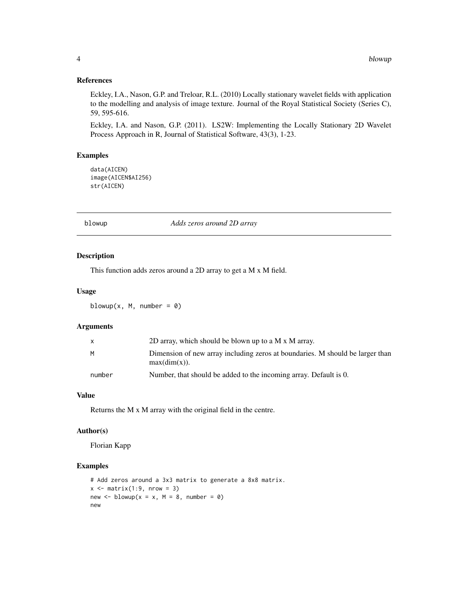#### References

Eckley, I.A., Nason, G.P. and Treloar, R.L. (2010) Locally stationary wavelet fields with application to the modelling and analysis of image texture. Journal of the Royal Statistical Society (Series C), 59, 595-616.

Eckley, I.A. and Nason, G.P. (2011). LS2W: Implementing the Locally Stationary 2D Wavelet Process Approach in R, Journal of Statistical Software, 43(3), 1-23.

#### Examples

data(AICEN) image(AICEN\$AI256) str(AICEN)

blowup *Adds zeros around 2D array*

#### Description

This function adds zeros around a 2D array to get a M x M field.

#### Usage

blowup(x,  $M$ , number = 0)

#### Arguments

| x      | 2D array, which should be blown up to a M $\rm x$ M array.                                       |
|--------|--------------------------------------------------------------------------------------------------|
| М      | Dimension of new array including zeros at boundaries. M should be larger than<br>$max(dim(x))$ . |
| number | Number, that should be added to the incoming array. Default is 0.                                |

#### Value

Returns the M x M array with the original field in the centre.

#### Author(s)

Florian Kapp

#### Examples

```
# Add zeros around a 3x3 matrix to generate a 8x8 matrix.
x \le - matrix(1:9, nrow = 3)
new \le blowup(x = x, M = 8, number = 0)
new
```
<span id="page-3-0"></span>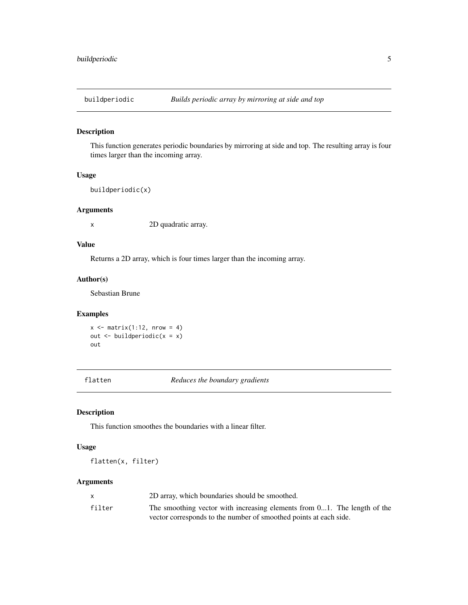<span id="page-4-0"></span>

#### Description

This function generates periodic boundaries by mirroring at side and top. The resulting array is four times larger than the incoming array.

#### Usage

```
buildperiodic(x)
```
#### Arguments

x 2D quadratic array.

#### Value

Returns a 2D array, which is four times larger than the incoming array.

#### Author(s)

Sebastian Brune

#### Examples

 $x \le -$  matrix(1:12, nrow = 4) out  $\le$ - buildperiodic(x = x) out

flatten *Reduces the boundary gradients*

#### Description

This function smoothes the boundaries with a linear filter.

#### Usage

flatten(x, filter)

#### Arguments

|        | 2D array, which boundaries should be smoothed.                              |
|--------|-----------------------------------------------------------------------------|
| filter | The smoothing vector with increasing elements from $01$ . The length of the |
|        | vector corresponds to the number of smoothed points at each side.           |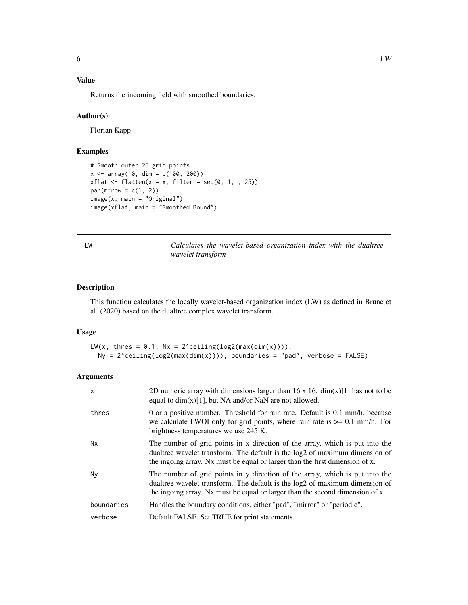### <span id="page-5-0"></span>Value

Returns the incoming field with smoothed boundaries.

#### Author(s)

Florian Kapp

#### Examples

```
# Smooth outer 25 grid points
x \le -\arctan(10, \dim = c(100, 200))xflat \leftarrow flat (x = x, filter = seq(0, 1, , 25))
par(mfrow = c(1, 2))image(x, main = "Original")
image(xflat, main = "Smoothed Bound")
```
LW *Calculates the wavelet-based organization index with the dualtree wavelet transform*

#### Description

This function calculates the locally wavelet-based organization index (LW) as defined in Brune et al. (2020) based on the dualtree complex wavelet transform.

#### Usage

```
LW(x, thres = 0.1, Nx = 2^ceiling(log2(max(dim(x)))),
 Ny = 2^{\circ}ceiling(log2(max(dim(x)))), boundaries = "pad", verbose = FALSE)
```
#### Arguments

| X          | 2D numeric array with dimensions larger than 16 x 16. $\dim(x)[1]$ has not to be<br>equal to $dim(x)[1]$ , but NA and/or NaN are not allowed.                                                                                                |
|------------|----------------------------------------------------------------------------------------------------------------------------------------------------------------------------------------------------------------------------------------------|
| thres      | 0 or a positive number. Threshold for rain rate. Default is 0.1 mm/h, because<br>we calculate LWOI only for grid points, where rain rate is $\ge$ = 0.1 mm/h. For<br>brightness temperatures we use 245 K.                                   |
| <b>Nx</b>  | The number of grid points in x direction of the array, which is put into the<br>dualtree wavelet transform. The default is the log2 of maximum dimension of<br>the ingoing array. Nx must be equal or larger than the first dimension of x.  |
| Ny         | The number of grid points in y direction of the array, which is put into the<br>dualtree wavelet transform. The default is the log2 of maximum dimension of<br>the ingoing array. Nx must be equal or larger than the second dimension of x. |
| boundaries | Handles the boundary conditions, either "pad", "mirror" or "periodic".                                                                                                                                                                       |
| verbose    | Default FALSE. Set TRUE for print statements.                                                                                                                                                                                                |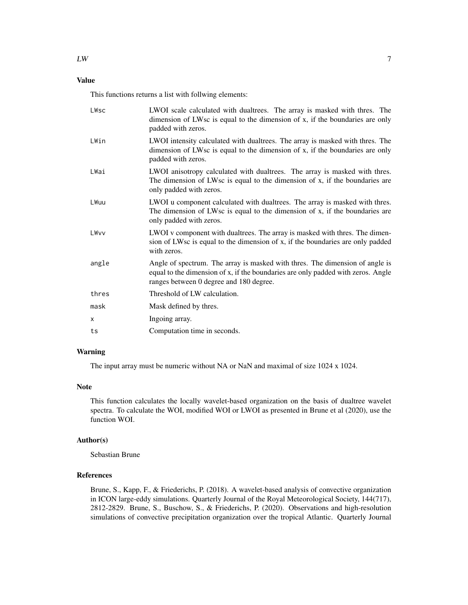#### Value

This functions returns a list with follwing elements:

| LWsc  | LWOI scale calculated with dualtrees. The array is masked with thres. The<br>dimension of LWsc is equal to the dimension of x, if the boundaries are only<br>padded with zeros.                             |
|-------|-------------------------------------------------------------------------------------------------------------------------------------------------------------------------------------------------------------|
| LWin  | LWOI intensity calculated with dualtrees. The array is masked with thres. The<br>dimension of LWsc is equal to the dimension of x, if the boundaries are only<br>padded with zeros.                         |
| LWai  | LWOI anisotropy calculated with dualtrees. The array is masked with thres.<br>The dimension of LWsc is equal to the dimension of x, if the boundaries are<br>only padded with zeros.                        |
| LWuu  | LWOI u component calculated with dualtrees. The array is masked with thres.<br>The dimension of LWsc is equal to the dimension of x, if the boundaries are<br>only padded with zeros.                       |
| LWvv  | LWOI v component with dualtrees. The array is masked with thres. The dimen-<br>sion of LWsc is equal to the dimension of x, if the boundaries are only padded<br>with zeros.                                |
| angle | Angle of spectrum. The array is masked with thres. The dimension of angle is<br>equal to the dimension of x, if the boundaries are only padded with zeros. Angle<br>ranges between 0 degree and 180 degree. |
| thres | Threshold of LW calculation.                                                                                                                                                                                |
| mask  | Mask defined by thres.                                                                                                                                                                                      |
| х     | Ingoing array.                                                                                                                                                                                              |
| ts    | Computation time in seconds.                                                                                                                                                                                |

#### Warning

The input array must be numeric without NA or NaN and maximal of size 1024 x 1024.

#### Note

This function calculates the locally wavelet-based organization on the basis of dualtree wavelet spectra. To calculate the WOI, modified WOI or LWOI as presented in Brune et al (2020), use the function WOI.

#### Author(s)

Sebastian Brune

#### References

Brune, S., Kapp, F., & Friederichs, P. (2018). A wavelet-based analysis of convective organization in ICON large-eddy simulations. Quarterly Journal of the Royal Meteorological Society, 144(717), 2812-2829. Brune, S., Buschow, S., & Friederichs, P. (2020). Observations and high-resolution simulations of convective precipitation organization over the tropical Atlantic. Quarterly Journal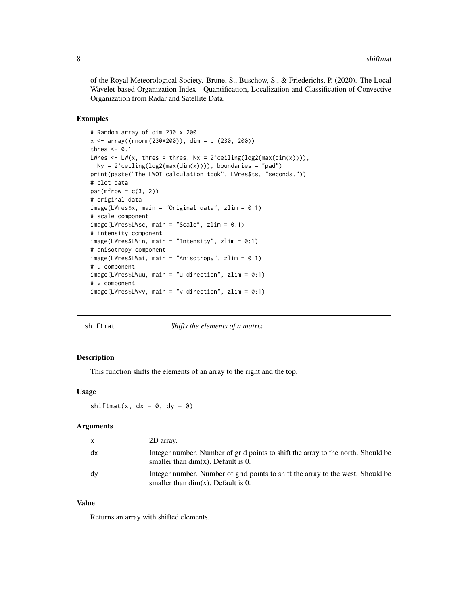<span id="page-7-0"></span>of the Royal Meteorological Society. Brune, S., Buschow, S., & Friederichs, P. (2020). The Local Wavelet-based Organization Index - Quantification, Localization and Classification of Convective Organization from Radar and Satellite Data.

#### Examples

```
# Random array of dim 230 x 200
x \le -\arctan((\text{rnorm}(230 \times 200)), \text{dim} = c (230, 200))thres <-0.1LWres \leq LW(x, thres = thres, Nx = 2^ceiling(log2(max(dim(x)))),
  Ny = 2^ceiling(log2(max(dim(x)))), boundaries = "pad")
print(paste("The LWOI calculation took", LWres$ts, "seconds."))
# plot data
par(mfrow = c(3, 2))# original data
image(LWres$x, main = "Original data", zlim = 0:1)
# scale component
image(LWres$LWsc, main = "Scale", zlim = 0:1)
# intensity component
image(LWres$LWin, main = "Intensity", zlim = 0:1)
# anisotropy component
image(LWres$LWai, main = "Anisotropy", zlim = 0:1)
# u component
image(LWres$LWuu, main = "u direction", zlim = 0:1)
# v component
image(LWres$LWvv, main = "v direction", zlim = 0:1)
```
shiftmat *Shifts the elements of a matrix*

#### Description

This function shifts the elements of an array to the right and the top.

#### Usage

shiftmat(x,  $dx = 0$ ,  $dy = 0$ )

#### **Arguments**

|    | 2D array.                                                                                                                 |
|----|---------------------------------------------------------------------------------------------------------------------------|
| dx | Integer number. Number of grid points to shift the array to the north. Should be<br>smaller than $dim(x)$ . Default is 0. |
| dv | Integer number. Number of grid points to shift the array to the west. Should be<br>smaller than $dim(x)$ . Default is 0.  |

#### Value

Returns an array with shifted elements.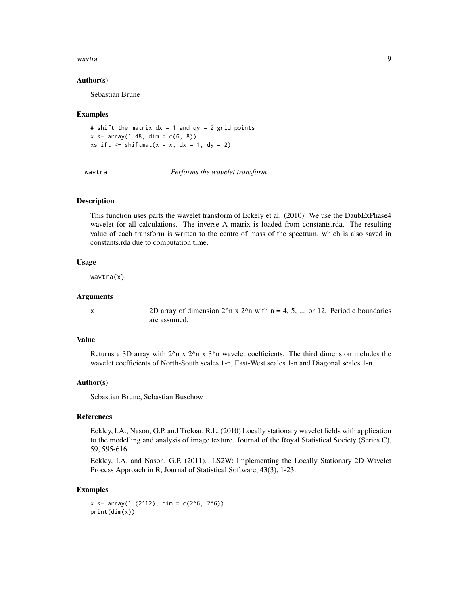#### <span id="page-8-0"></span>wavtra **9**

#### Author(s)

Sebastian Brune

#### Examples

# shift the matrix  $dx = 1$  and  $dy = 2$  grid points  $x \le -\arctan(1:48, \, \text{dim} = c(6, 8))$ xshift  $\le$  shiftmat(x = x, dx = 1, dy = 2)

wavtra *Performs the wavelet transform*

#### Description

This function uses parts the wavelet transform of Eckely et al. (2010). We use the DaubExPhase4 wavelet for all calculations. The inverse A matrix is loaded from constants.rda. The resulting value of each transform is written to the centre of mass of the spectrum, which is also saved in constants.rda due to computation time.

#### Usage

wavtra(x)

#### Arguments

x 2D array of dimension  $2^n$ n x  $2^n$ n with n = 4, 5, ... or 12. Periodic boundaries are assumed.

#### Value

Returns a 3D array with  $2^{\lambda}$ n x  $2^{\lambda}$ n x  $3^*$ n wavelet coefficients. The third dimension includes the wavelet coefficients of North-South scales 1-n, East-West scales 1-n and Diagonal scales 1-n.

#### Author(s)

Sebastian Brune, Sebastian Buschow

#### References

Eckley, I.A., Nason, G.P. and Treloar, R.L. (2010) Locally stationary wavelet fields with application to the modelling and analysis of image texture. Journal of the Royal Statistical Society (Series C), 59, 595-616.

Eckley, I.A. and Nason, G.P. (2011). LS2W: Implementing the Locally Stationary 2D Wavelet Process Approach in R, Journal of Statistical Software, 43(3), 1-23.

#### Examples

```
x \le -\arctan(1:(2^12), \dim = c(2^6, 2^6))print(dim(x))
```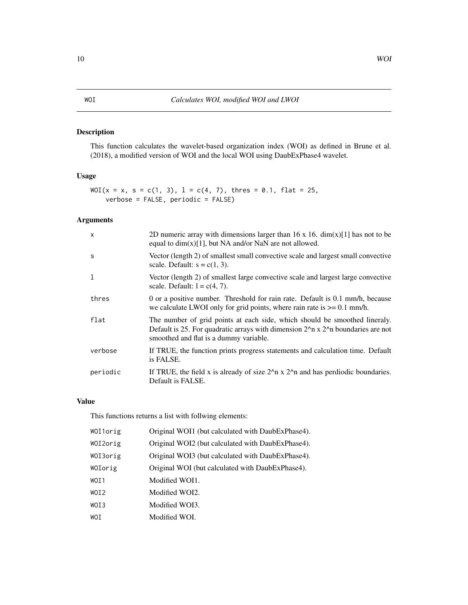#### <span id="page-9-0"></span>Description

This function calculates the wavelet-based organization index (WOI) as defined in Brune et al. (2018), a modified version of WOI and the local WOI using DaubExPhase4 wavelet.

#### Usage

```
WOI(x = x, s = c(1, 3), l = c(4, 7), thres = 0.1, flat = 25,verbose = FALSE, periodic = FALSE)
```
#### Arguments

| $\mathsf{x}$ | 2D numeric array with dimensions larger than 16 x 16. $\dim(x)[1]$ has not to be<br>equal to $dim(x)[1]$ , but NA and/or NaN are not allowed.                                                                 |
|--------------|---------------------------------------------------------------------------------------------------------------------------------------------------------------------------------------------------------------|
| S            | Vector (length 2) of smallest small convective scale and largest small convective<br>scale. Default: $s = c(1, 3)$ .                                                                                          |
|              | Vector (length 2) of smallest large convective scale and largest large convective<br>scale. Default: $1 = c(4, 7)$ .                                                                                          |
| thres        | 0 or a positive number. Threshold for rain rate. Default is 0.1 mm/h, because<br>we calculate LWOI only for grid points, where rain rate is $\geq 0.1$ mm/h.                                                  |
| flat         | The number of grid points at each side, which should be smoothed lineraly.<br>Default is 25. For quadratic arrays with dimension $22$ n x $22$ n boundaries are not<br>smoothed and flat is a dummy variable. |
| verbose      | If TRUE, the function prints progress statements and calculation time. Default<br>is FALSE.                                                                                                                   |
| periodic     | If TRUE, the field x is already of size $22$ n x $22$ n and has perdiodic boundaries.<br>Default is FALSE.                                                                                                    |

#### Value

This functions returns a list with follwing elements:

| WOI1orig | Original WOI1 (but calculated with DaubExPhase4). |
|----------|---------------------------------------------------|
| WOI2orig | Original WOI2 (but calculated with DaubExPhase4). |
| WOI3orig | Original WOI3 (but calculated with DaubExPhase4). |
| WOIorig  | Original WOI (but calculated with DaubExPhase4).  |
| WOI1     | Modified WOI1.                                    |
| WOI2     | Modified WOI2.                                    |
| WOI3     | Modified WOI3.                                    |
| WOI      | Modified WOI.                                     |
|          |                                                   |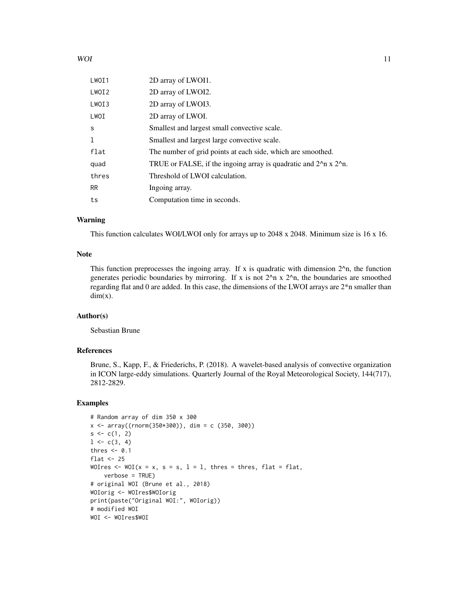| LWOI1 | 2D array of LWOI1.                                                                      |
|-------|-----------------------------------------------------------------------------------------|
| LWOI2 | 2D array of LWOI2.                                                                      |
| LWOI3 | 2D array of LWOI3.                                                                      |
| LWOI  | 2D array of LWOI.                                                                       |
| S     | Smallest and largest small convective scale.                                            |
| 1     | Smallest and largest large convective scale.                                            |
| flat  | The number of grid points at each side, which are smoothed.                             |
| quad  | TRUE or FALSE, if the ingoing array is quadratic and $2^{\lambda}$ n x $2^{\lambda}$ n. |
| thres | Threshold of LWOI calculation.                                                          |
| RR.   | Ingoing array.                                                                          |
| ts    | Computation time in seconds.                                                            |

#### Warning

This function calculates WOI/LWOI only for arrays up to 2048 x 2048. Minimum size is 16 x 16.

#### Note

This function preprocesses the ingoing array. If x is quadratic with dimension  $2^{\lambda}n$ , the function generates periodic boundaries by mirroring. If x is not  $2^{\lambda}$ n x  $2^{\lambda}$ n, the boundaries are smoothed regarding flat and 0 are added. In this case, the dimensions of the LWOI arrays are 2\*n smaller than  $dim(x)$ .

#### Author(s)

Sebastian Brune

#### References

Brune, S., Kapp, F., & Friederichs, P. (2018). A wavelet-based analysis of convective organization in ICON large-eddy simulations. Quarterly Journal of the Royal Meteorological Society, 144(717), 2812-2829.

#### Examples

```
# Random array of dim 350 x 300
x \le -\arctan((\text{rnorm}(350*300)), \text{dim} = c (350, 300))s \leq c(1, 2)1 \leftarrow c(3, 4)thres <-0.1flat <-25WOIres \leq WOI(x = x, s = s, l = l, thres = thres, flat = flat,
    verbose = TRUE)
# original WOI (Brune et al., 2018)
WOIorig <- WOIres$WOIorig
print(paste("Original WOI:", WOIorig))
# modified WOI
WOI <- WOIres$WOI
```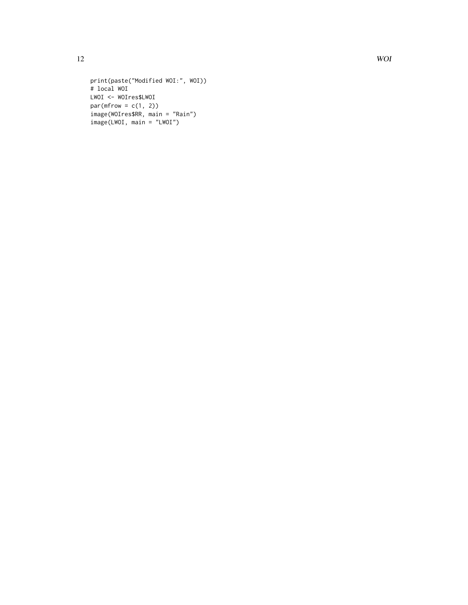```
print(paste("Modified WOI:", WOI))
# local WOI
LWOI <- WOIres$LWOI
par(mfrow = c(1, 2))image(WOIres$RR, main = "Rain")
image(LWOI, main = "LWOI")
```